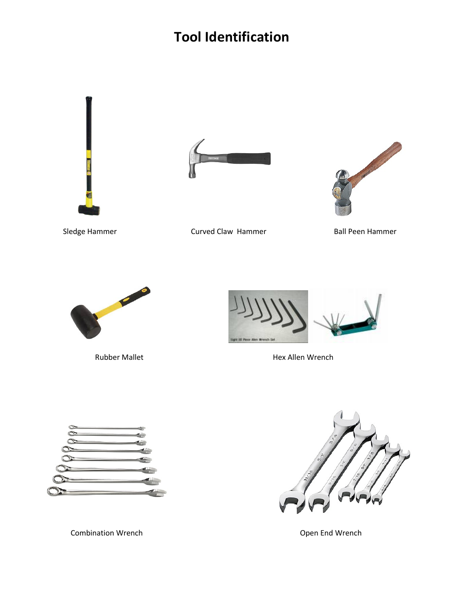# **Tool Identification**







Sledge Hammer **Curved Claw Hammer** Ball Peen Hammer





Rubber Mallet **Hex Allen Wrench** 



Combination Wrench **Combination Wrench Combination Wrench Open End Wrench** 

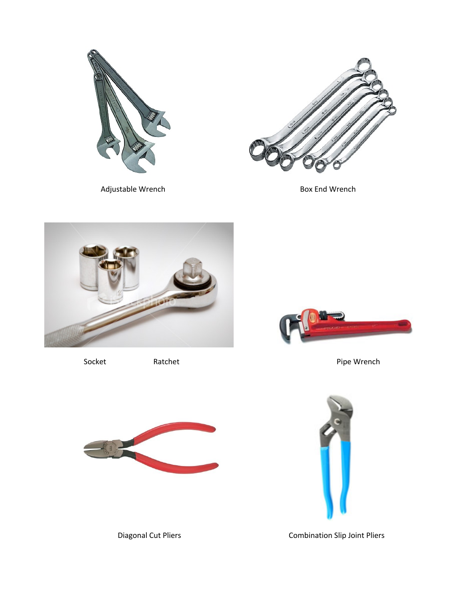



Adjustable Wrench and Box End Wrench Box End Wrench





Socket Ratchet Ratchet Ratchet Pipe Wrench





Diagonal Cut Pliers **Combination Slip Joint Pliers** Combination Slip Joint Pliers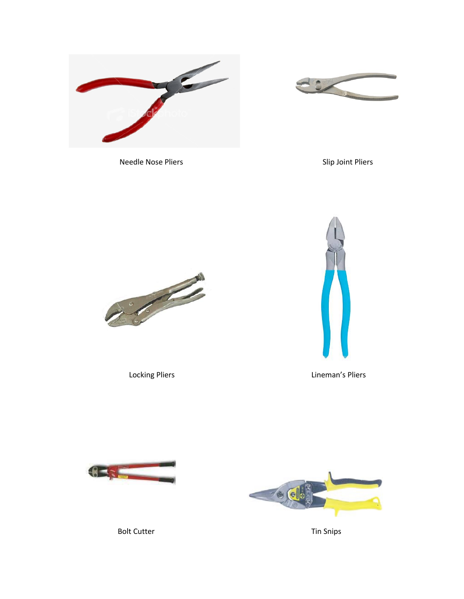



Needle Nose Pliers **Slip Joint Pliers** Slip Joint Pliers





Locking Pliers **Lineman's Pliers** 





Bolt Cutter Tin Snips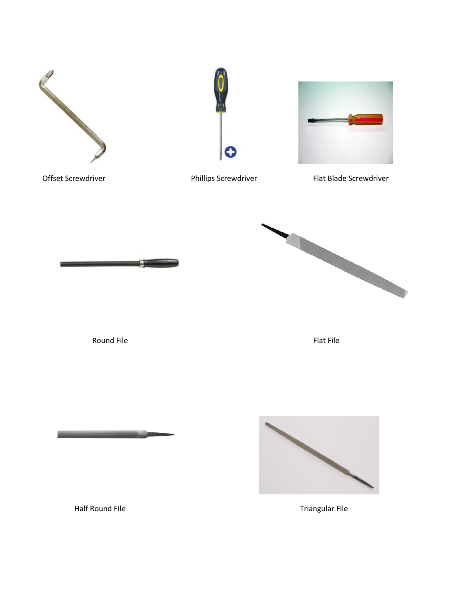







Offset Screwdriver **Phillips Screwdriver** Phillips Screwdriver Flat Blade Screwdriver



Round File Flat File Flat File

<u> 1999 - Andrew Maria Barbara, prima politik (</u>



Half Round File Triangular File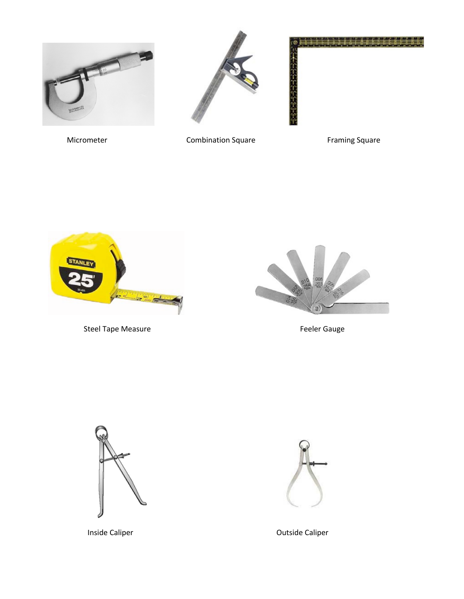





Micrometer **Combination Square** Framing Square



Steel Tape Measure **Feeler Gauge Feeler** Gauge







Inside Caliper **Caliper Calibration Calibration Calibration Calibration Calibration Calibration Calibration Calibration Calibration Calibration Calibration Calibration Calibration Calibration**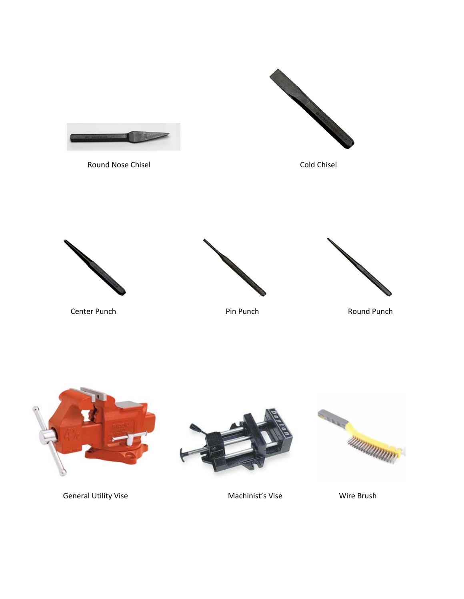



General Utility Vise **Machinist's Vise** Machinist's Vise Wire Brush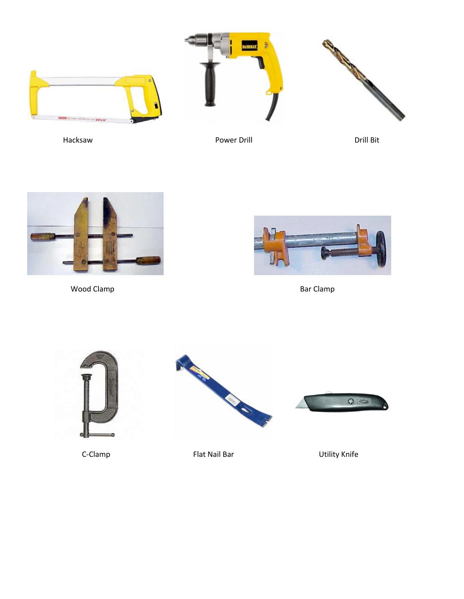





Hacksaw **Power Drill** Power Drill **Communist Power Drill** Bit



Wood Clamp Bar Clamp







C-Clamp Flat Nail Bar Utility Knife

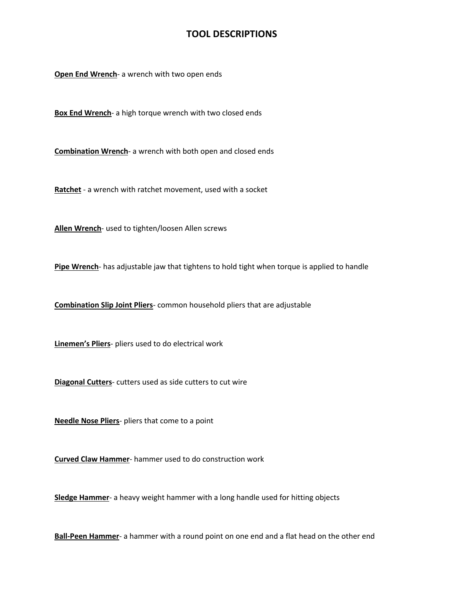#### **TOOL DESCRIPTIONS**

**Open End Wrench**- a wrench with two open ends

**Box End Wrench**- a high torque wrench with two closed ends

**Combination Wrench**- a wrench with both open and closed ends

**Ratchet** - a wrench with ratchet movement, used with a socket

**Allen Wrench**- used to tighten/loosen Allen screws

**Pipe Wrench**- has adjustable jaw that tightens to hold tight when torque is applied to handle

**Combination Slip Joint Pliers**- common household pliers that are adjustable

**Linemen's Pliers**- pliers used to do electrical work

**Diagonal Cutters**- cutters used as side cutters to cut wire

**Needle Nose Pliers**- pliers that come to a point

**Curved Claw Hammer**- hammer used to do construction work

**Sledge Hammer**- a heavy weight hammer with a long handle used for hitting objects

**Ball-Peen Hammer**- a hammer with a round point on one end and a flat head on the other end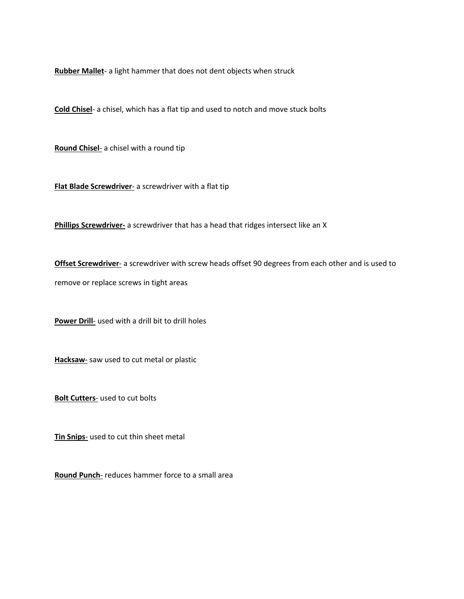**Rubber Mallet**- a light hammer that does not dent objects when struck

**Cold Chisel**- a chisel, which has a flat tip and used to notch and move stuck bolts

**Round Chisel**- a chisel with a round tip

**Flat Blade Screwdriver**- a screwdriver with a flat tip

**Phillips Screwdriver-** a screwdriver that has a head that ridges intersect like an X

**Offset Screwdriver-** a screwdriver with screw heads offset 90 degrees from each other and is used to remove or replace screws in tight areas

**Power Drill**- used with a drill bit to drill holes

**Hacksaw**- saw used to cut metal or plastic

**Bolt Cutters**- used to cut bolts

**Tin Snips**- used to cut thin sheet metal

**Round Punch**- reduces hammer force to a small area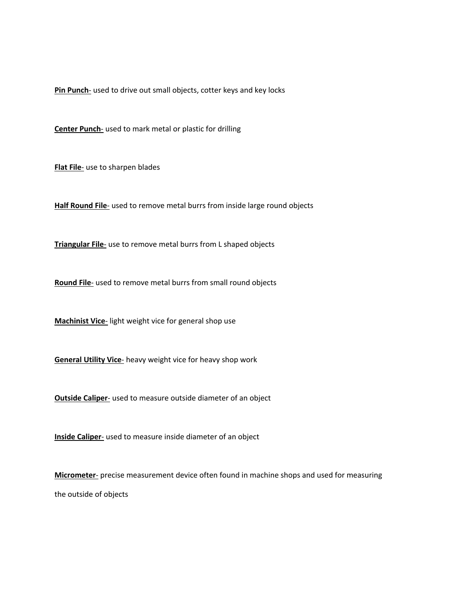**Pin Punch**- used to drive out small objects, cotter keys and key locks

**Center Punch**- used to mark metal or plastic for drilling

**Flat File**- use to sharpen blades

**Half Round File**- used to remove metal burrs from inside large round objects

**Triangular File**- use to remove metal burrs from L shaped objects

**Round File**- used to remove metal burrs from small round objects

**Machinist Vice**- light weight vice for general shop use

**General Utility Vice**- heavy weight vice for heavy shop work

**Outside Caliper**- used to measure outside diameter of an object

**Inside Caliper**- used to measure inside diameter of an object

**Micrometer**- precise measurement device often found in machine shops and used for measuring the outside of objects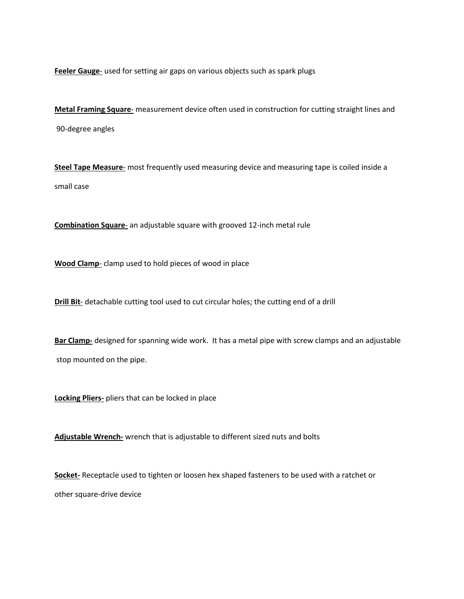**Feeler Gauge**- used for setting air gaps on various objects such as spark plugs

**Metal Framing Square**- measurement device often used in construction for cutting straight lines and 90-degree angles

**Steel Tape Measure**- most frequently used measuring device and measuring tape is coiled inside a small case

**Combination Square**- an adjustable square with grooved 12-inch metal rule

**Wood Clamp**- clamp used to hold pieces of wood in place

**Drill Bit-** detachable cutting tool used to cut circular holes; the cutting end of a drill

**Bar Clamp-** designed for spanning wide work. It has a metal pipe with screw clamps and an adjustable stop mounted on the pipe.

**Locking Pliers-** pliers that can be locked in place

**Adjustable Wrench-** wrench that is adjustable to different sized nuts and bolts

**Socket-** Receptacle used to tighten or loosen hex shaped fasteners to be used with a ratchet or other square-drive device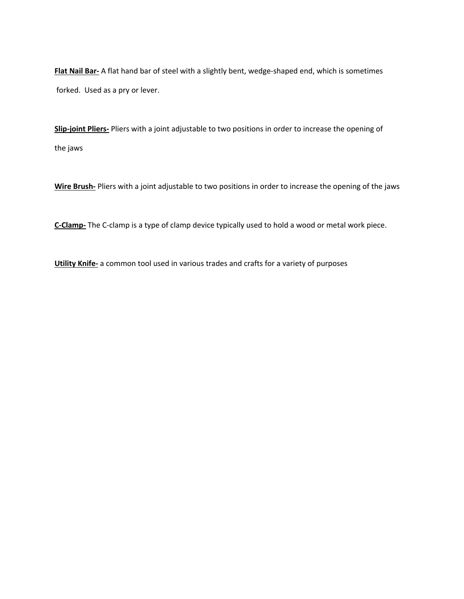**Flat Nail Bar-** A flat hand bar of steel with a slightly bent, wedge-shaped end, which is sometimes forked. Used as a pry or lever.

**Slip-joint Pliers-** Pliers with a joint adjustable to two positions in order to increase the opening of the jaws

**Wire Brush-** Pliers with a joint adjustable to two positions in order to increase the opening of the jaws

**C-Clamp-** The C-clamp is a type of clamp device typically used to hold a wood or metal work piece.

**Utility Knife-** a common tool used in various trades and crafts for a variety of purposes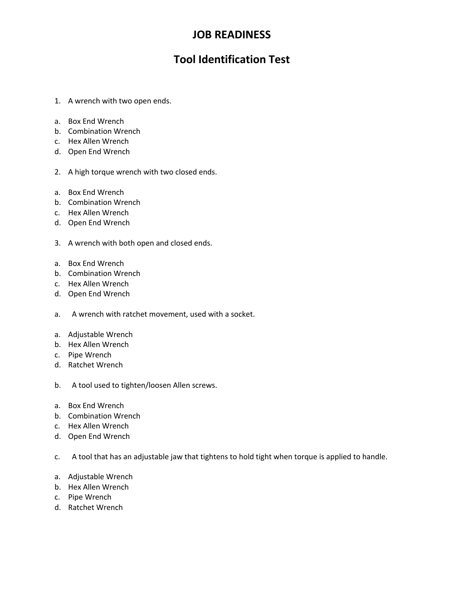## **JOB READINESS**

## **Tool Identification Test**

- 1. A wrench with two open ends.
- a. Box End Wrench
- b. Combination Wrench
- c. Hex Allen Wrench
- d. Open End Wrench
- 2. A high torque wrench with two closed ends.
- a. Box End Wrench
- b. Combination Wrench
- c. Hex Allen Wrench
- d. Open End Wrench
- 3. A wrench with both open and closed ends.
- a. Box End Wrench
- b. Combination Wrench
- c. Hex Allen Wrench
- d. Open End Wrench
- a. A wrench with ratchet movement, used with a socket.
- a. Adjustable Wrench
- b. Hex Allen Wrench
- c. Pipe Wrench
- d. Ratchet Wrench
- b. A tool used to tighten/loosen Allen screws.
- a. Box End Wrench
- b. Combination Wrench
- c. Hex Allen Wrench
- d. Open End Wrench
- c. A tool that has an adjustable jaw that tightens to hold tight when torque is applied to handle.
- a. Adjustable Wrench
- b. Hex Allen Wrench
- c. Pipe Wrench
- d. Ratchet Wrench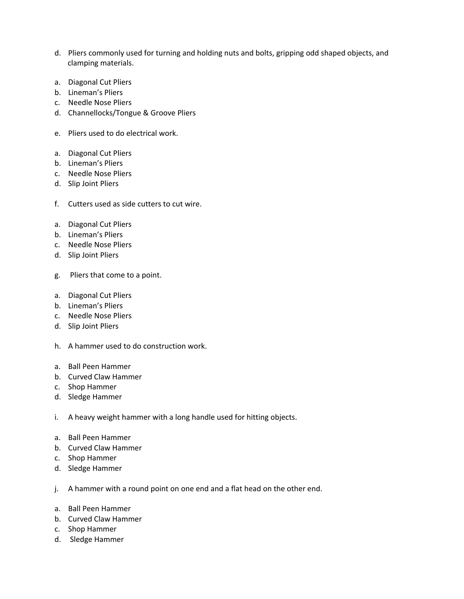- d. Pliers commonly used for turning and holding nuts and bolts, gripping odd shaped objects, and clamping materials.
- a. Diagonal Cut Pliers
- b. Lineman's Pliers
- c. Needle Nose Pliers
- d. Channellocks/Tongue & Groove Pliers
- e. Pliers used to do electrical work.
- a. Diagonal Cut Pliers
- b. Lineman's Pliers
- c. Needle Nose Pliers
- d. Slip Joint Pliers
- f. Cutters used as side cutters to cut wire.
- a. Diagonal Cut Pliers
- b. Lineman's Pliers
- c. Needle Nose Pliers
- d. Slip Joint Pliers
- g. Pliers that come to a point.
- a. Diagonal Cut Pliers
- b. Lineman's Pliers
- c. Needle Nose Pliers
- d. Slip Joint Pliers
- h. A hammer used to do construction work.
- a. Ball Peen Hammer
- b. Curved Claw Hammer
- c. Shop Hammer
- d. Sledge Hammer
- i. A heavy weight hammer with a long handle used for hitting objects.
- a. Ball Peen Hammer
- b. Curved Claw Hammer
- c. Shop Hammer
- d. Sledge Hammer
- j. A hammer with a round point on one end and a flat head on the other end.
- a. Ball Peen Hammer
- b. Curved Claw Hammer
- c. Shop Hammer
- d. Sledge Hammer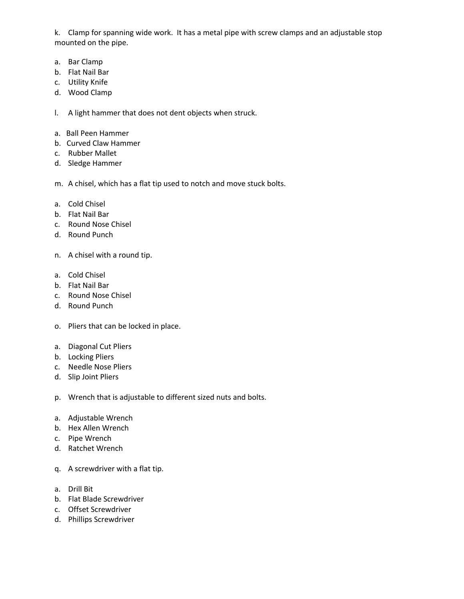k. Clamp for spanning wide work. It has a metal pipe with screw clamps and an adjustable stop mounted on the pipe.

- a. Bar Clamp
- b. Flat Nail Bar
- c. Utility Knife
- d. Wood Clamp

l. A light hammer that does not dent objects when struck.

- a. Ball Peen Hammer
- b. Curved Claw Hammer
- c. Rubber Mallet
- d. Sledge Hammer
- m. A chisel, which has a flat tip used to notch and move stuck bolts.
- a. Cold Chisel
- b. Flat Nail Bar
- c. Round Nose Chisel
- d. Round Punch
- n. A chisel with a round tip.
- a. Cold Chisel
- b. Flat Nail Bar
- c. Round Nose Chisel
- d. Round Punch
- o. Pliers that can be locked in place.
- a. Diagonal Cut Pliers
- b. Locking Pliers
- c. Needle Nose Pliers
- d. Slip Joint Pliers
- p. Wrench that is adjustable to different sized nuts and bolts.
- a. Adjustable Wrench
- b. Hex Allen Wrench
- c. Pipe Wrench
- d. Ratchet Wrench
- q. A screwdriver with a flat tip.
- a. Drill Bit
- b. Flat Blade Screwdriver
- c. Offset Screwdriver
- d. Phillips Screwdriver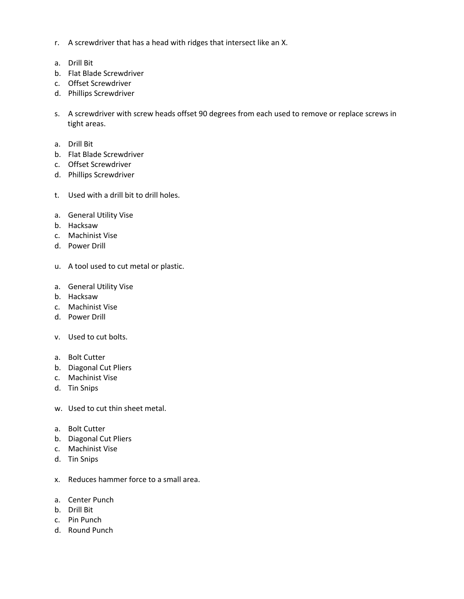- r. A screwdriver that has a head with ridges that intersect like an X.
- a. Drill Bit
- b. Flat Blade Screwdriver
- c. Offset Screwdriver
- d. Phillips Screwdriver
- s. A screwdriver with screw heads offset 90 degrees from each used to remove or replace screws in tight areas.
- a. Drill Bit
- b. Flat Blade Screwdriver
- c. Offset Screwdriver
- d. Phillips Screwdriver
- t. Used with a drill bit to drill holes.
- a. General Utility Vise
- b. Hacksaw
- c. Machinist Vise
- d. Power Drill
- u. A tool used to cut metal or plastic.
- a. General Utility Vise
- b. Hacksaw
- c. Machinist Vise
- d. Power Drill
- v. Used to cut bolts.
- a. Bolt Cutter
- b. Diagonal Cut Pliers
- c. Machinist Vise
- d. Tin Snips
- w. Used to cut thin sheet metal.
- a. Bolt Cutter
- b. Diagonal Cut Pliers
- c. Machinist Vise
- d. Tin Snips
- x. Reduces hammer force to a small area.
- a. Center Punch
- b. Drill Bit
- c. Pin Punch
- d. Round Punch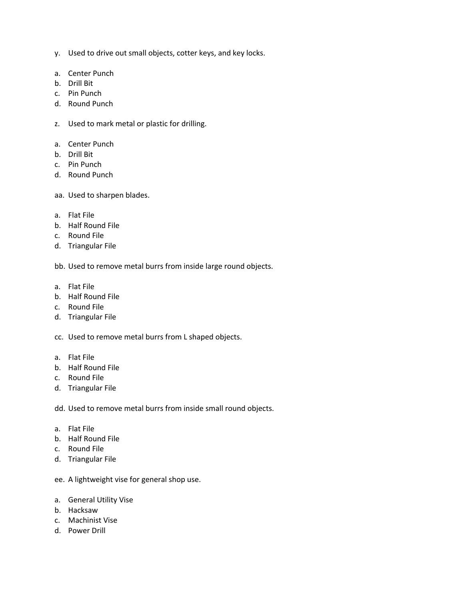- y. Used to drive out small objects, cotter keys, and key locks.
- a. Center Punch
- b. Drill Bit
- c. Pin Punch
- d. Round Punch
- z. Used to mark metal or plastic for drilling.
- a. Center Punch
- b. Drill Bit
- c. Pin Punch
- d. Round Punch
- aa. Used to sharpen blades.
- a. Flat File
- b. Half Round File
- c. Round File
- d. Triangular File

bb. Used to remove metal burrs from inside large round objects.

- a. Flat File
- b. Half Round File
- c. Round File
- d. Triangular File
- cc. Used to remove metal burrs from L shaped objects.
- a. Flat File
- b. Half Round File
- c. Round File
- d. Triangular File

dd. Used to remove metal burrs from inside small round objects.

- a. Flat File
- b. Half Round File
- c. Round File
- d. Triangular File

ee. A lightweight vise for general shop use.

- a. General Utility Vise
- b. Hacksaw
- c. Machinist Vise
- d. Power Drill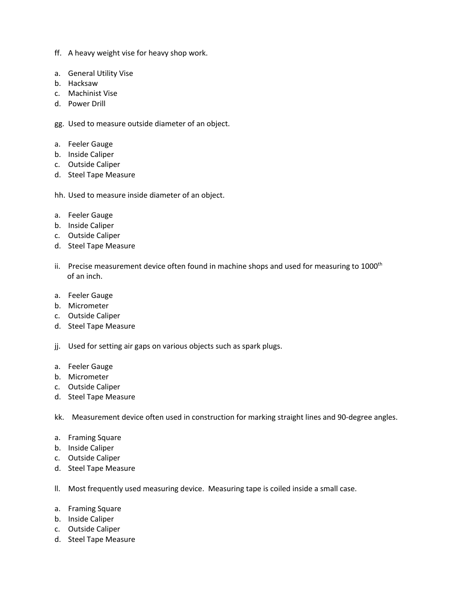- ff. A heavy weight vise for heavy shop work.
- a. General Utility Vise
- b. Hacksaw
- c. Machinist Vise
- d. Power Drill
- gg. Used to measure outside diameter of an object.
- a. Feeler Gauge
- b. Inside Caliper
- c. Outside Caliper
- d. Steel Tape Measure
- hh. Used to measure inside diameter of an object.
- a. Feeler Gauge
- b. Inside Caliper
- c. Outside Caliper
- d. Steel Tape Measure
- ii. Precise measurement device often found in machine shops and used for measuring to 1000<sup>th</sup> of an inch.
- a. Feeler Gauge
- b. Micrometer
- c. Outside Caliper
- d. Steel Tape Measure
- jj. Used for setting air gaps on various objects such as spark plugs.
- a. Feeler Gauge
- b. Micrometer
- c. Outside Caliper
- d. Steel Tape Measure
- kk. Measurement device often used in construction for marking straight lines and 90-degree angles.
- a. Framing Square
- b. Inside Caliper
- c. Outside Caliper
- d. Steel Tape Measure
- ll. Most frequently used measuring device. Measuring tape is coiled inside a small case.
- a. Framing Square
- b. Inside Caliper
- c. Outside Caliper
- d. Steel Tape Measure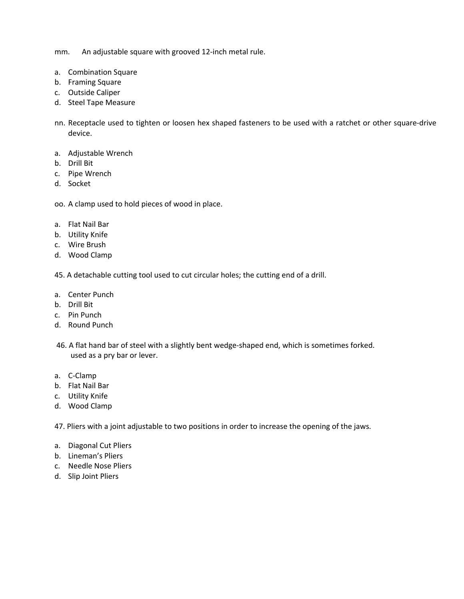mm. An adjustable square with grooved 12-inch metal rule.

- a. Combination Square
- b. Framing Square
- c. Outside Caliper
- d. Steel Tape Measure
- nn. Receptacle used to tighten or loosen hex shaped fasteners to be used with a ratchet or other square-drive device.
- a. Adjustable Wrench
- b. Drill Bit
- c. Pipe Wrench
- d. Socket

oo. A clamp used to hold pieces of wood in place.

- a. Flat Nail Bar
- b. Utility Knife
- c. Wire Brush
- d. Wood Clamp

45. A detachable cutting tool used to cut circular holes; the cutting end of a drill.

- a. Center Punch
- b. Drill Bit
- c. Pin Punch
- d. Round Punch
- 46. A flat hand bar of steel with a slightly bent wedge-shaped end, which is sometimes forked. used as a pry bar or lever.
- a. C-Clamp
- b. Flat Nail Bar
- c. Utility Knife
- d. Wood Clamp

47. Pliers with a joint adjustable to two positions in order to increase the opening of the jaws.

- a. Diagonal Cut Pliers
- b. Lineman's Pliers
- c. Needle Nose Pliers
- d. Slip Joint Pliers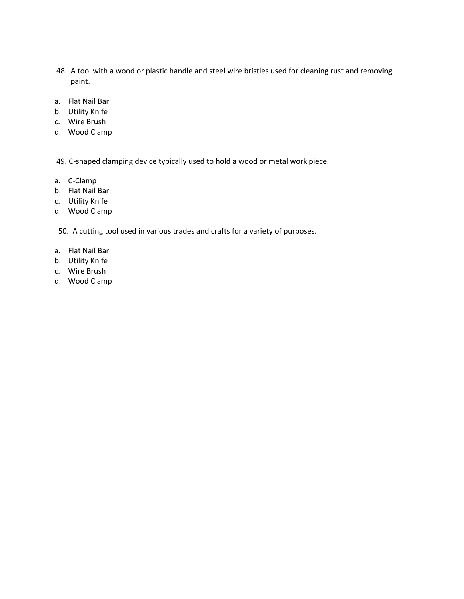- 48. A tool with a wood or plastic handle and steel wire bristles used for cleaning rust and removing paint.
- a. Flat Nail Bar
- b. Utility Knife
- c. Wire Brush
- d. Wood Clamp

49. C-shaped clamping device typically used to hold a wood or metal work piece.

- a. C-Clamp
- b. Flat Nail Bar
- c. Utility Knife
- d. Wood Clamp

50. A cutting tool used in various trades and crafts for a variety of purposes.

- a. Flat Nail Bar
- b. Utility Knife
- c. Wire Brush
- d. Wood Clamp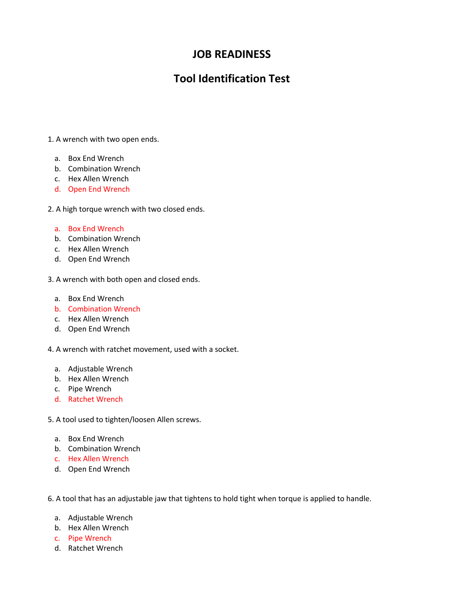## **JOB READINESS**

## **Tool Identification Test**

- 1. A wrench with two open ends.
	- a. Box End Wrench
	- b. Combination Wrench
	- c. Hex Allen Wrench
	- d. Open End Wrench

2. A high torque wrench with two closed ends.

#### a. Box End Wrench

- b. Combination Wrench
- c. Hex Allen Wrench
- d. Open End Wrench

3. A wrench with both open and closed ends.

- a. Box End Wrench
- b. Combination Wrench
- c. Hex Allen Wrench
- d. Open End Wrench

4. A wrench with ratchet movement, used with a socket.

- a. Adjustable Wrench
- b. Hex Allen Wrench
- c. Pipe Wrench
- d. Ratchet Wrench

5. A tool used to tighten/loosen Allen screws.

- a. Box End Wrench
- b. Combination Wrench
- c. Hex Allen Wrench
- d. Open End Wrench

6. A tool that has an adjustable jaw that tightens to hold tight when torque is applied to handle.

- a. Adjustable Wrench
- b. Hex Allen Wrench
- c. Pipe Wrench
- d. Ratchet Wrench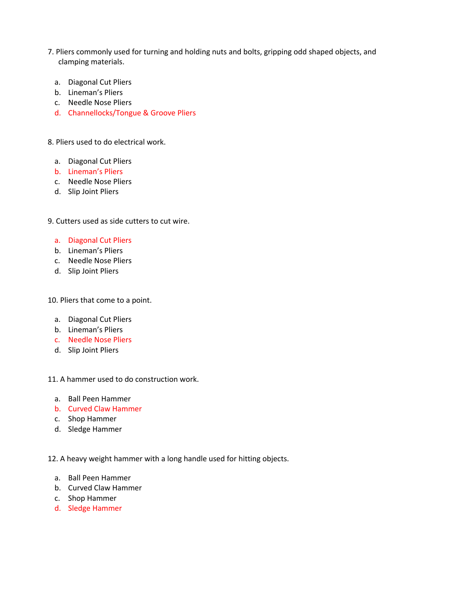- 7. Pliers commonly used for turning and holding nuts and bolts, gripping odd shaped objects, and clamping materials.
	- a. Diagonal Cut Pliers
	- b. Lineman's Pliers
	- c. Needle Nose Pliers
	- d. Channellocks/Tongue & Groove Pliers

8. Pliers used to do electrical work.

- a. Diagonal Cut Pliers
- b. Lineman's Pliers
- c. Needle Nose Pliers
- d. Slip Joint Pliers
- 9. Cutters used as side cutters to cut wire.
	- a. Diagonal Cut Pliers
	- b. Lineman's Pliers
	- c. Needle Nose Pliers
	- d. Slip Joint Pliers

10. Pliers that come to a point.

- a. Diagonal Cut Pliers
- b. Lineman's Pliers
- c. Needle Nose Pliers
- d. Slip Joint Pliers
- 11. A hammer used to do construction work.
	- a. Ball Peen Hammer
	- b. Curved Claw Hammer
	- c. Shop Hammer
	- d. Sledge Hammer

12. A heavy weight hammer with a long handle used for hitting objects.

- a. Ball Peen Hammer
- b. Curved Claw Hammer
- c. Shop Hammer
- d. Sledge Hammer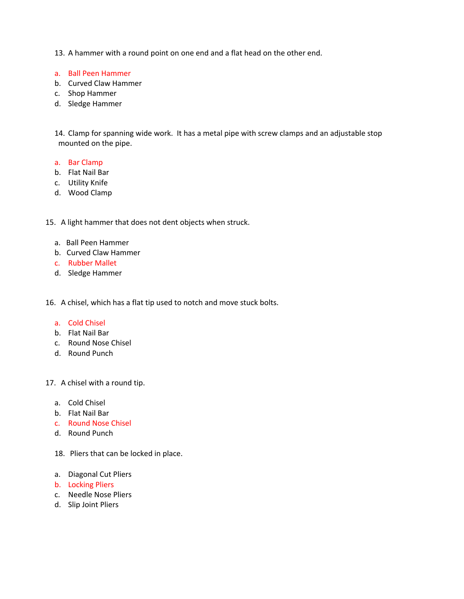13. A hammer with a round point on one end and a flat head on the other end.

- a. Ball Peen Hammer
- b. Curved Claw Hammer
- c. Shop Hammer
- d. Sledge Hammer

14. Clamp for spanning wide work. It has a metal pipe with screw clamps and an adjustable stop mounted on the pipe.

- a. Bar Clamp
- b. Flat Nail Bar
- c. Utility Knife
- d. Wood Clamp
- 15. A light hammer that does not dent objects when struck.
	- a. Ball Peen Hammer
	- b. Curved Claw Hammer
	- c. Rubber Mallet
	- d. Sledge Hammer

16. A chisel, which has a flat tip used to notch and move stuck bolts.

#### a. Cold Chisel

- b. Flat Nail Bar
- c. Round Nose Chisel
- d. Round Punch

17. A chisel with a round tip.

- a. Cold Chisel
- b. Flat Nail Bar
- c. Round Nose Chisel
- d. Round Punch
- 18. Pliers that can be locked in place.
- a. Diagonal Cut Pliers
- b. Locking Pliers
- c. Needle Nose Pliers
- d. Slip Joint Pliers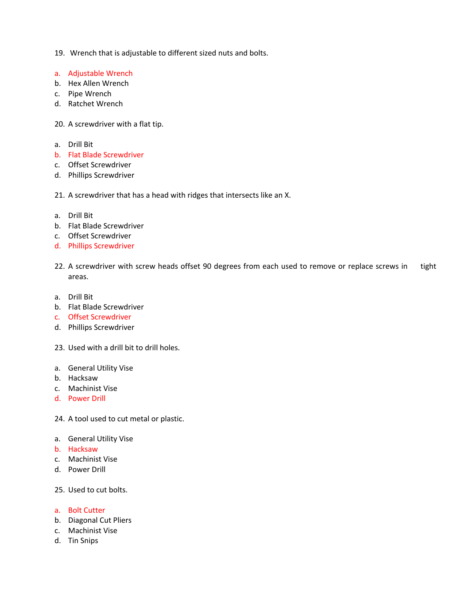- 19. Wrench that is adjustable to different sized nuts and bolts.
- a. Adjustable Wrench
- b. Hex Allen Wrench
- c. Pipe Wrench
- d. Ratchet Wrench
- 20. A screwdriver with a flat tip.
- a. Drill Bit
- b. Flat Blade Screwdriver
- c. Offset Screwdriver
- d. Phillips Screwdriver
- 21. A screwdriver that has a head with ridges that intersects like an X.
- a. Drill Bit
- b. Flat Blade Screwdriver
- c. Offset Screwdriver
- d. Phillips Screwdriver
- 22. A screwdriver with screw heads offset 90 degrees from each used to remove or replace screws in tight areas.
- a. Drill Bit
- b. Flat Blade Screwdriver
- c. Offset Screwdriver
- d. Phillips Screwdriver
- 23. Used with a drill bit to drill holes.
- a. General Utility Vise
- b. Hacksaw
- c. Machinist Vise
- d. Power Drill
- 24. A tool used to cut metal or plastic.
- a. General Utility Vise
- b. Hacksaw
- c. Machinist Vise
- d. Power Drill
- 25. Used to cut bolts.
- a. Bolt Cutter
- b. Diagonal Cut Pliers
- c. Machinist Vise
- d. Tin Snips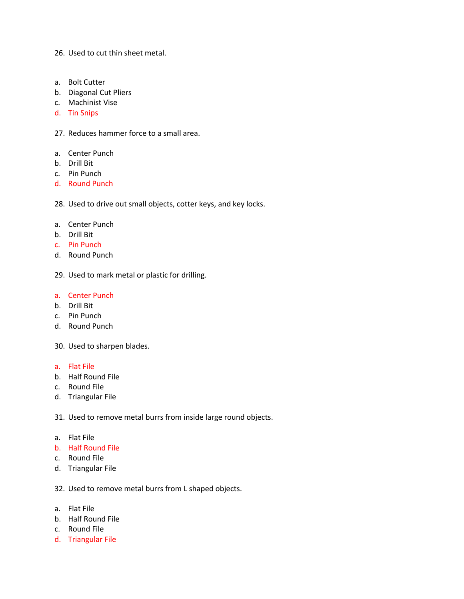26. Used to cut thin sheet metal.

- a. Bolt Cutter
- b. Diagonal Cut Pliers
- c. Machinist Vise
- d. Tin Snips
- 27. Reduces hammer force to a small area.
- a. Center Punch
- b. Drill Bit
- c. Pin Punch
- d. Round Punch

28. Used to drive out small objects, cotter keys, and key locks.

- a. Center Punch
- b. Drill Bit
- c. Pin Punch
- d. Round Punch

29. Used to mark metal or plastic for drilling.

#### a. Center Punch

- b. Drill Bit
- c. Pin Punch
- d. Round Punch
- 30. Used to sharpen blades.
- a. Flat File
- b. Half Round File
- c. Round File
- d. Triangular File

31. Used to remove metal burrs from inside large round objects.

- a. Flat File
- b. Half Round File
- c. Round File
- d. Triangular File

32. Used to remove metal burrs from L shaped objects.

- a. Flat File
- b. Half Round File
- c. Round File
- d. Triangular File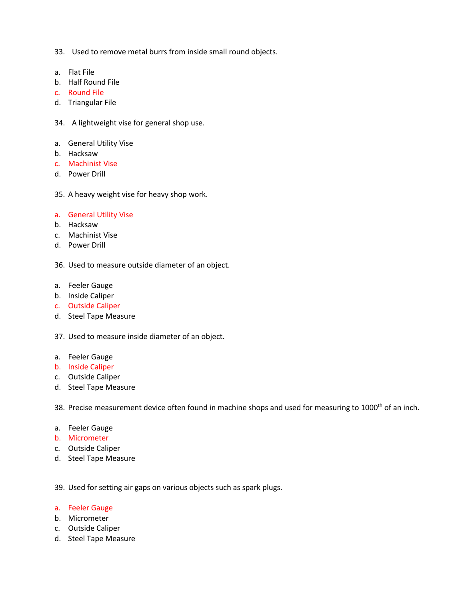- 33. Used to remove metal burrs from inside small round objects.
- a. Flat File
- b. Half Round File
- c. Round File
- d. Triangular File
- 34. A lightweight vise for general shop use.
- a. General Utility Vise
- b. Hacksaw
- c. Machinist Vise
- d. Power Drill
- 35. A heavy weight vise for heavy shop work.
- a. General Utility Vise
- b. Hacksaw
- c. Machinist Vise
- d. Power Drill

36. Used to measure outside diameter of an object.

- a. Feeler Gauge
- b. Inside Caliper
- c. Outside Caliper
- d. Steel Tape Measure
- 37. Used to measure inside diameter of an object.
- a. Feeler Gauge
- b. Inside Caliper
- c. Outside Caliper
- d. Steel Tape Measure

38. Precise measurement device often found in machine shops and used for measuring to 1000<sup>th</sup> of an inch.

- a. Feeler Gauge
- b. Micrometer
- c. Outside Caliper
- d. Steel Tape Measure

39. Used for setting air gaps on various objects such as spark plugs.

- a. Feeler Gauge
- b. Micrometer
- c. Outside Caliper
- d. Steel Tape Measure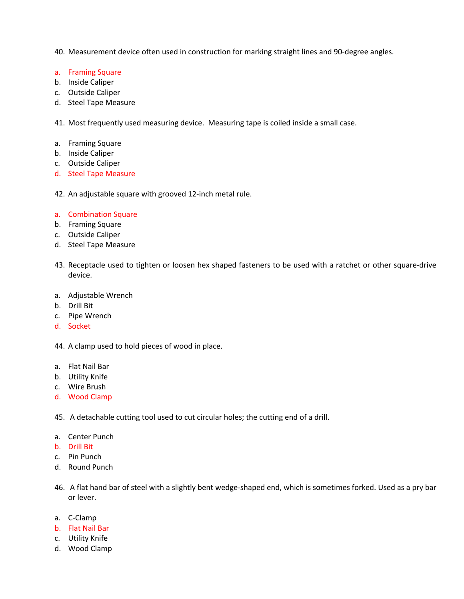- 40. Measurement device often used in construction for marking straight lines and 90-degree angles.
- a. Framing Square
- b. Inside Caliper
- c. Outside Caliper
- d. Steel Tape Measure
- 41. Most frequently used measuring device. Measuring tape is coiled inside a small case.
- a. Framing Square
- b. Inside Caliper
- c. Outside Caliper
- d. Steel Tape Measure
- 42. An adjustable square with grooved 12-inch metal rule.
- a. Combination Square
- b. Framing Square
- c. Outside Caliper
- d. Steel Tape Measure
- 43. Receptacle used to tighten or loosen hex shaped fasteners to be used with a ratchet or other square-drive device.
- a. Adjustable Wrench
- b. Drill Bit
- c. Pipe Wrench
- d. Socket
- 44. A clamp used to hold pieces of wood in place.
- a. Flat Nail Bar
- b. Utility Knife
- c. Wire Brush
- d. Wood Clamp
- 45. A detachable cutting tool used to cut circular holes; the cutting end of a drill.
- a. Center Punch
- b. Drill Bit
- c. Pin Punch
- d. Round Punch
- 46. A flat hand bar of steel with a slightly bent wedge-shaped end, which is sometimes forked. Used as a pry bar or lever.
- a. C-Clamp
- b. Flat Nail Bar
- c. Utility Knife
- d. Wood Clamp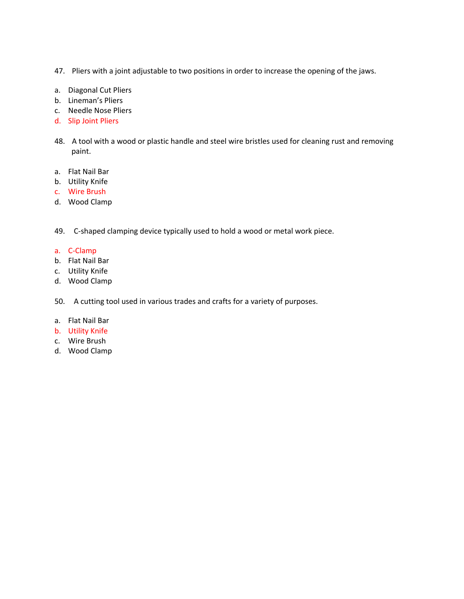- 47. Pliers with a joint adjustable to two positions in order to increase the opening of the jaws.
- a. Diagonal Cut Pliers
- b. Lineman's Pliers
- c. Needle Nose Pliers
- d. Slip Joint Pliers
- 48. A tool with a wood or plastic handle and steel wire bristles used for cleaning rust and removing paint.
- a. Flat Nail Bar
- b. Utility Knife
- c. Wire Brush
- d. Wood Clamp
- 49. C-shaped clamping device typically used to hold a wood or metal work piece.
- a. C-Clamp
- b. Flat Nail Bar
- c. Utility Knife
- d. Wood Clamp
- 50. A cutting tool used in various trades and crafts for a variety of purposes.
- a. Flat Nail Bar
- b. Utility Knife
- c. Wire Brush
- d. Wood Clamp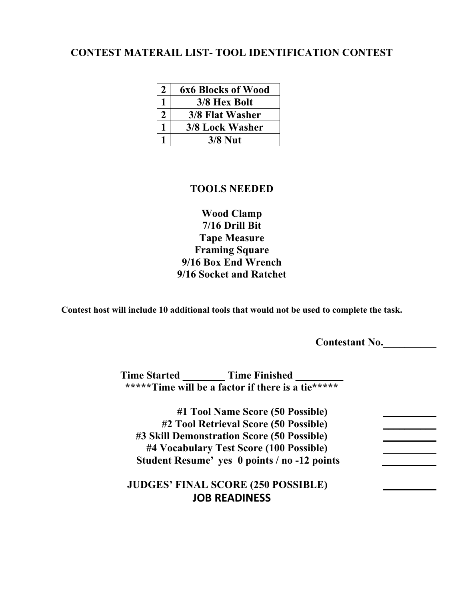### **CONTEST MATERAIL LIST- TOOL IDENTIFICATION CONTEST**

| 2 | <b>6x6 Blocks of Wood</b> |
|---|---------------------------|
|   | 3/8 Hex Bolt              |
|   | 3/8 Flat Washer           |
|   | 3/8 Lock Washer           |
|   | $3/8$ Nut                 |

#### **TOOLS NEEDED**

**Wood Clamp 7/16 Drill Bit Tape Measure Framing Square 9/16 Box End Wrench 9/16 Socket and Ratchet**

**Contest host will include 10 additional tools that would not be used to complete the task.**

**Contestant No.\_\_\_\_\_\_\_\_\_\_**

**Time Started \_\_\_\_\_\_\_\_ Time Finished \_\_\_\_\_\_\_\_\_ \*\*\*\*\*Time will be a factor if there is a tie\*\*\*\*\***

**#1 Tool Name Score (50 Possible) \_\_\_\_\_\_\_\_\_\_ #2 Tool Retrieval Score (50 Possible) \_\_\_\_\_\_\_\_\_\_ #3 Skill Demonstration Score (50 Possible) \_\_\_\_\_\_\_\_\_\_ #4 Vocabulary Test Score (100 Possible) \_\_\_\_\_\_\_\_\_\_ Student Resume' yes 0 points / no -12 points**

**JUDGES' FINAL SCORE (250 POSSIBLE) \_\_\_\_\_\_\_\_\_\_ JOB READINESS**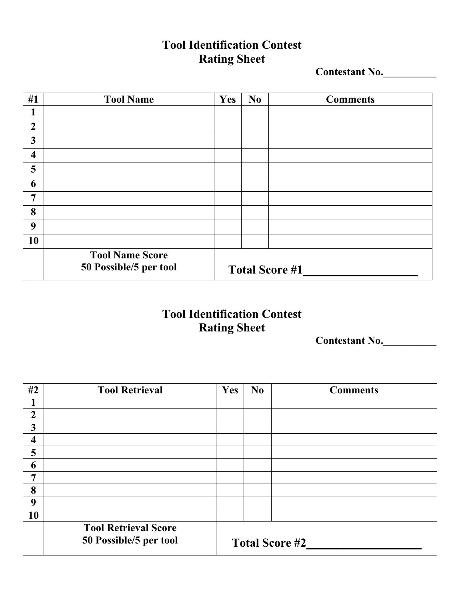## **Tool Identification Contest Rating Sheet**

**Contestant No.\_\_\_\_\_\_\_\_\_\_**

| #1                      | <b>Tool Name</b>                                 | Yes | N <sub>0</sub>        | <b>Comments</b> |
|-------------------------|--------------------------------------------------|-----|-----------------------|-----------------|
| 1                       |                                                  |     |                       |                 |
| $\overline{2}$          |                                                  |     |                       |                 |
| 3                       |                                                  |     |                       |                 |
| $\overline{\mathbf{4}}$ |                                                  |     |                       |                 |
| 5                       |                                                  |     |                       |                 |
| 6                       |                                                  |     |                       |                 |
| $\overline{7}$          |                                                  |     |                       |                 |
| 8                       |                                                  |     |                       |                 |
| 9                       |                                                  |     |                       |                 |
| 10                      |                                                  |     |                       |                 |
|                         | <b>Tool Name Score</b><br>50 Possible/5 per tool |     | <b>Total Score #1</b> |                 |

## **Tool Identification Contest Rating Sheet**

**Contestant No.\_\_\_\_\_\_\_\_\_\_**

| #2             | <b>Tool Retrieval</b>                                 | Yes                   | N <sub>0</sub> | <b>Comments</b> |  |
|----------------|-------------------------------------------------------|-----------------------|----------------|-----------------|--|
|                |                                                       |                       |                |                 |  |
| $\overline{2}$ |                                                       |                       |                |                 |  |
| 3              |                                                       |                       |                |                 |  |
| 4              |                                                       |                       |                |                 |  |
| 5              |                                                       |                       |                |                 |  |
| 6              |                                                       |                       |                |                 |  |
| 7              |                                                       |                       |                |                 |  |
| 8              |                                                       |                       |                |                 |  |
| 9              |                                                       |                       |                |                 |  |
| 10             |                                                       |                       |                |                 |  |
|                | <b>Tool Retrieval Score</b><br>50 Possible/5 per tool | <b>Total Score #2</b> |                |                 |  |
|                |                                                       |                       |                |                 |  |